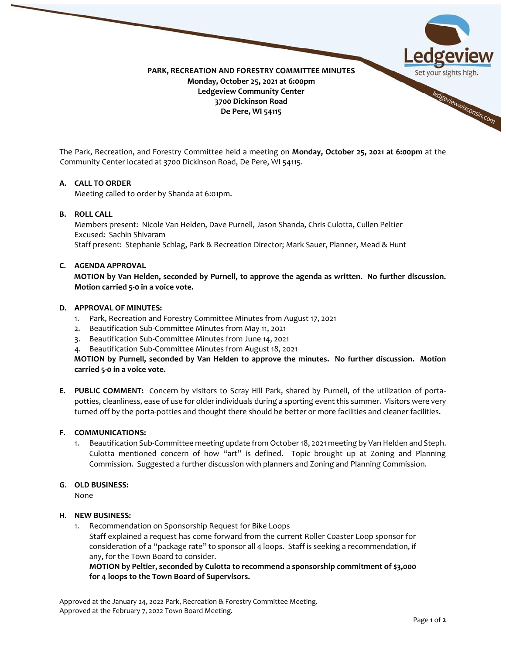

The Park, Recreation, and Forestry Committee held a meeting on **Monday, October 25, 2021 at 6:00pm** at the Community Center located at 3700 Dickinson Road, De Pere, WI 54115.

### **A. CALL TO ORDER**

Meeting called to order by Shanda at 6:01pm.

## **B. ROLL CALL**

Members present: Nicole Van Helden, Dave Purnell, Jason Shanda, Chris Culotta, Cullen Peltier Excused: Sachin Shivaram Staff present: Stephanie Schlag, Park & Recreation Director; Mark Sauer, Planner, Mead & Hunt

#### **C. AGENDA APPROVAL**

**MOTION by Van Helden, seconded by Purnell, to approve the agenda as written. No further discussion. Motion carried 5-0 in a voice vote.** 

#### **D. APPROVAL OF MINUTES:**

- 1. Park, Recreation and Forestry Committee Minutes from August 17, 2021
- 2. Beautification Sub-Committee Minutes from May 11, 2021
- 3. Beautification Sub-Committee Minutes from June 14, 2021
- 4. Beautification Sub-Committee Minutes from August 18, 2021

**MOTION by Purnell, seconded by Van Helden to approve the minutes. No further discussion. Motion carried 5-0 in a voice vote.** 

**E. PUBLIC COMMENT:** Concern by visitors to Scray Hill Park, shared by Purnell, of the utilization of portapotties, cleanliness, ease of use for older individuals during a sporting event this summer. Visitors were very turned off by the porta-potties and thought there should be better or more facilities and cleaner facilities.

### **F. COMMUNICATIONS:**

1. Beautification Sub-Committee meeting update from October 18, 2021 meeting by Van Helden and Steph. Culotta mentioned concern of how "art" is defined. Topic brought up at Zoning and Planning Commission. Suggested a further discussion with planners and Zoning and Planning Commission.

### **G. OLD BUSINESS:**

None

# **H. NEW BUSINESS:**

1. Recommendation on Sponsorship Request for Bike Loops Staff explained a request has come forward from the current Roller Coaster Loop sponsor for consideration of a "package rate" to sponsor all 4 loops. Staff is seeking a recommendation, if any, for the Town Board to consider.

**MOTION by Peltier, seconded by Culotta to recommend a sponsorship commitment of \$3,000 for 4 loops to the Town Board of Supervisors.** 

Approved at the January 24, 2022 Park, Recreation & Forestry Committee Meeting. Approved at the February 7, 2022 Town Board Meeting.